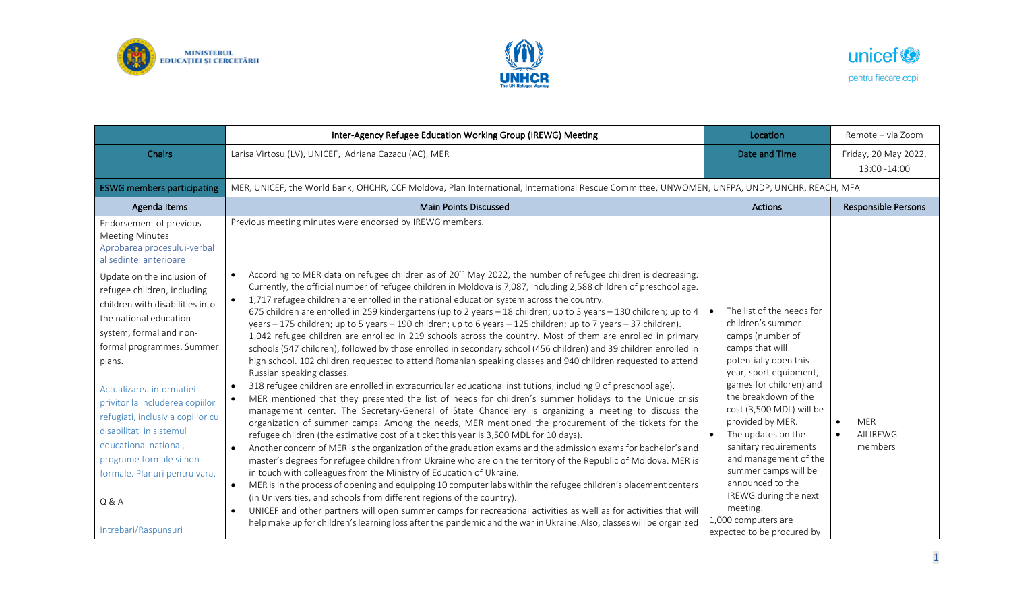





|                                                                                                                                                                                                                                                                                                                                                                                                                                               | Inter-Agency Refugee Education Working Group (IREWG) Meeting                                                                                                                                                                                                                                                                                                                                                                                                                                                                                                                                                                                                                                                                                                                                                                                                                                                                                                                                                                                                                                                                                                                                                                                                                                                                                                                                                                                                                                                                                                                                                                                                                                                                                                                                                                                                                                                                                                                                                                                                                                                                                                                                                                                                                                                          | Location                                                                                                                                                                                                                                                                                                                                                                                                                                                               | Remote - via Zoom                  |  |
|-----------------------------------------------------------------------------------------------------------------------------------------------------------------------------------------------------------------------------------------------------------------------------------------------------------------------------------------------------------------------------------------------------------------------------------------------|-----------------------------------------------------------------------------------------------------------------------------------------------------------------------------------------------------------------------------------------------------------------------------------------------------------------------------------------------------------------------------------------------------------------------------------------------------------------------------------------------------------------------------------------------------------------------------------------------------------------------------------------------------------------------------------------------------------------------------------------------------------------------------------------------------------------------------------------------------------------------------------------------------------------------------------------------------------------------------------------------------------------------------------------------------------------------------------------------------------------------------------------------------------------------------------------------------------------------------------------------------------------------------------------------------------------------------------------------------------------------------------------------------------------------------------------------------------------------------------------------------------------------------------------------------------------------------------------------------------------------------------------------------------------------------------------------------------------------------------------------------------------------------------------------------------------------------------------------------------------------------------------------------------------------------------------------------------------------------------------------------------------------------------------------------------------------------------------------------------------------------------------------------------------------------------------------------------------------------------------------------------------------------------------------------------------------|------------------------------------------------------------------------------------------------------------------------------------------------------------------------------------------------------------------------------------------------------------------------------------------------------------------------------------------------------------------------------------------------------------------------------------------------------------------------|------------------------------------|--|
| <b>Chairs</b>                                                                                                                                                                                                                                                                                                                                                                                                                                 | Larisa Virtosu (LV), UNICEF, Adriana Cazacu (AC), MER                                                                                                                                                                                                                                                                                                                                                                                                                                                                                                                                                                                                                                                                                                                                                                                                                                                                                                                                                                                                                                                                                                                                                                                                                                                                                                                                                                                                                                                                                                                                                                                                                                                                                                                                                                                                                                                                                                                                                                                                                                                                                                                                                                                                                                                                 | Date and Time                                                                                                                                                                                                                                                                                                                                                                                                                                                          | Friday, 20 May 2022,               |  |
|                                                                                                                                                                                                                                                                                                                                                                                                                                               |                                                                                                                                                                                                                                                                                                                                                                                                                                                                                                                                                                                                                                                                                                                                                                                                                                                                                                                                                                                                                                                                                                                                                                                                                                                                                                                                                                                                                                                                                                                                                                                                                                                                                                                                                                                                                                                                                                                                                                                                                                                                                                                                                                                                                                                                                                                       |                                                                                                                                                                                                                                                                                                                                                                                                                                                                        | 13:00 -14:00                       |  |
| <b>ESWG members participating</b>                                                                                                                                                                                                                                                                                                                                                                                                             | MER, UNICEF, the World Bank, OHCHR, CCF Moldova, Plan International, International Rescue Committee, UNWOMEN, UNFPA, UNDP, UNCHR, REACH, MFA                                                                                                                                                                                                                                                                                                                                                                                                                                                                                                                                                                                                                                                                                                                                                                                                                                                                                                                                                                                                                                                                                                                                                                                                                                                                                                                                                                                                                                                                                                                                                                                                                                                                                                                                                                                                                                                                                                                                                                                                                                                                                                                                                                          |                                                                                                                                                                                                                                                                                                                                                                                                                                                                        |                                    |  |
| Agenda Items                                                                                                                                                                                                                                                                                                                                                                                                                                  | <b>Main Points Discussed</b>                                                                                                                                                                                                                                                                                                                                                                                                                                                                                                                                                                                                                                                                                                                                                                                                                                                                                                                                                                                                                                                                                                                                                                                                                                                                                                                                                                                                                                                                                                                                                                                                                                                                                                                                                                                                                                                                                                                                                                                                                                                                                                                                                                                                                                                                                          | <b>Actions</b>                                                                                                                                                                                                                                                                                                                                                                                                                                                         | <b>Responsible Persons</b>         |  |
| Endorsement of previous<br><b>Meeting Minutes</b><br>Aprobarea procesului-verbal<br>al sedintei anterioare                                                                                                                                                                                                                                                                                                                                    | Previous meeting minutes were endorsed by IREWG members.                                                                                                                                                                                                                                                                                                                                                                                                                                                                                                                                                                                                                                                                                                                                                                                                                                                                                                                                                                                                                                                                                                                                                                                                                                                                                                                                                                                                                                                                                                                                                                                                                                                                                                                                                                                                                                                                                                                                                                                                                                                                                                                                                                                                                                                              |                                                                                                                                                                                                                                                                                                                                                                                                                                                                        |                                    |  |
| Update on the inclusion of<br>refugee children, including<br>children with disabilities into<br>the national education<br>system, formal and non-<br>formal programmes. Summer<br>plans.<br>Actualizarea informatiei<br>privitor la includerea copiilor<br>refugiati, inclusiv a copiilor cu<br>disabilitati in sistemul<br>educational national,<br>programe formale si non-<br>formale. Planuri pentru vara.<br>Q&A<br>Intrebari/Raspunsuri | According to MER data on refugee children as of $20^{th}$ May 2022, the number of refugee children is decreasing.<br>Currently, the official number of refugee children in Moldova is 7,087, including 2,588 children of preschool age.<br>1,717 refugee children are enrolled in the national education system across the country.<br>$\bullet$<br>675 children are enrolled in 259 kindergartens (up to 2 years - 18 children; up to 3 years - 130 children; up to 4<br>years - 175 children; up to 5 years - 190 children; up to 6 years - 125 children; up to 7 years - 37 children).<br>1,042 refugee children are enrolled in 219 schools across the country. Most of them are enrolled in primary<br>schools (547 children), followed by those enrolled in secondary school (456 children) and 39 children enrolled in<br>high school. 102 children requested to attend Romanian speaking classes and 940 children requested to attend<br>Russian speaking classes.<br>318 refugee children are enrolled in extracurricular educational institutions, including 9 of preschool age).<br>MER mentioned that they presented the list of needs for children's summer holidays to the Unique crisis<br>$\bullet$<br>management center. The Secretary-General of State Chancellery is organizing a meeting to discuss the<br>organization of summer camps. Among the needs, MER mentioned the procurement of the tickets for the<br>refugee children (the estimative cost of a ticket this year is 3,500 MDL for 10 days).<br>Another concern of MER is the organization of the graduation exams and the admission exams for bachelor's and<br>$\bullet$<br>master's degrees for refugee children from Ukraine who are on the territory of the Republic of Moldova. MER is<br>in touch with colleagues from the Ministry of Education of Ukraine.<br>MER is in the process of opening and equipping 10 computer labs within the refugee children's placement centers<br>$\bullet$<br>(in Universities, and schools from different regions of the country).<br>UNICEF and other partners will open summer camps for recreational activities as well as for activities that will<br>$\bullet$<br>help make up for children's learning loss after the pandemic and the war in Ukraine. Also, classes will be organized | The list of the needs for<br>children's summer<br>camps (number of<br>camps that will<br>potentially open this<br>year, sport equipment,<br>games for children) and<br>the breakdown of the<br>cost (3,500 MDL) will be<br>provided by MER.<br>The updates on the<br>$\bullet$<br>sanitary requirements<br>and management of the<br>summer camps will be<br>announced to the<br>IREWG during the next<br>meeting.<br>1,000 computers are<br>expected to be procured by | <b>MER</b><br>All IREWG<br>members |  |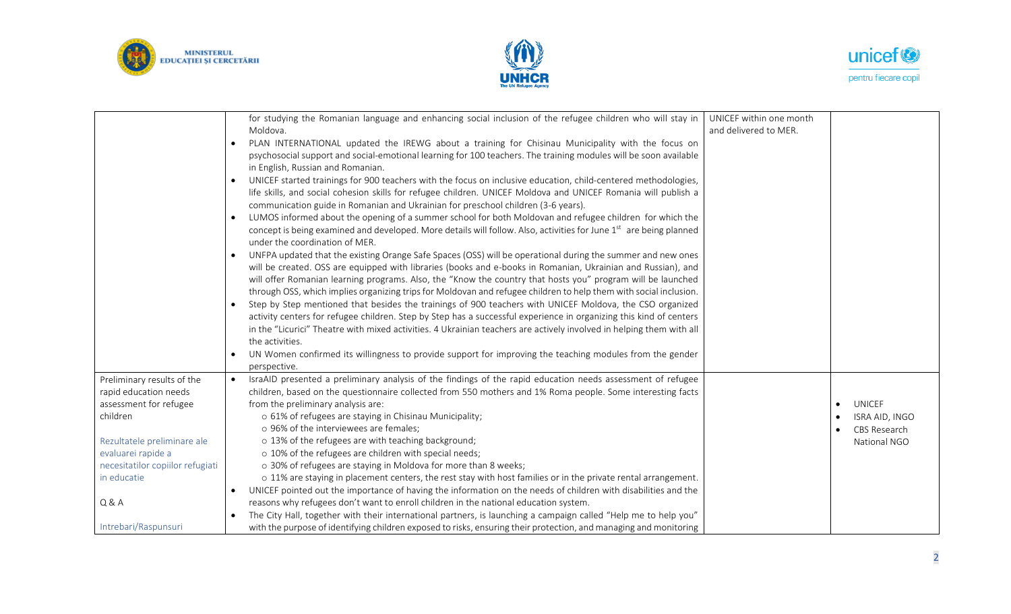





|                                  | for studying the Romanian language and enhancing social inclusion of the refugee children who will stay in                   | UNICEF within one month |                |
|----------------------------------|------------------------------------------------------------------------------------------------------------------------------|-------------------------|----------------|
|                                  | Moldova.                                                                                                                     | and delivered to MER.   |                |
|                                  | PLAN INTERNATIONAL updated the IREWG about a training for Chisinau Municipality with the focus on                            |                         |                |
|                                  | psychosocial support and social-emotional learning for 100 teachers. The training modules will be soon available             |                         |                |
|                                  | in English, Russian and Romanian.                                                                                            |                         |                |
|                                  | UNICEF started trainings for 900 teachers with the focus on inclusive education, child-centered methodologies,               |                         |                |
|                                  | life skills, and social cohesion skills for refugee children. UNICEF Moldova and UNICEF Romania will publish a               |                         |                |
|                                  | communication guide in Romanian and Ukrainian for preschool children (3-6 years).                                            |                         |                |
|                                  | LUMOS informed about the opening of a summer school for both Moldovan and refugee children for which the<br>$\bullet$        |                         |                |
|                                  | concept is being examined and developed. More details will follow. Also, activities for June 1st are being planned           |                         |                |
|                                  | under the coordination of MER.                                                                                               |                         |                |
|                                  | UNFPA updated that the existing Orange Safe Spaces (OSS) will be operational during the summer and new ones                  |                         |                |
|                                  | will be created. OSS are equipped with libraries (books and e-books in Romanian, Ukrainian and Russian), and                 |                         |                |
|                                  | will offer Romanian learning programs. Also, the "Know the country that hosts you" program will be launched                  |                         |                |
|                                  | through OSS, which implies organizing trips for Moldovan and refugee children to help them with social inclusion.            |                         |                |
|                                  | Step by Step mentioned that besides the trainings of 900 teachers with UNICEF Moldova, the CSO organized<br>$\bullet$        |                         |                |
|                                  | activity centers for refugee children. Step by Step has a successful experience in organizing this kind of centers           |                         |                |
|                                  | in the "Licurici" Theatre with mixed activities. 4 Ukrainian teachers are actively involved in helping them with all         |                         |                |
|                                  | the activities.                                                                                                              |                         |                |
|                                  | UN Women confirmed its willingness to provide support for improving the teaching modules from the gender<br>$\bullet$        |                         |                |
|                                  | perspective.                                                                                                                 |                         |                |
| Preliminary results of the       | IsraAID presented a preliminary analysis of the findings of the rapid education needs assessment of refugee                  |                         |                |
| rapid education needs            | children, based on the questionnaire collected from 550 mothers and 1% Roma people. Some interesting facts                   |                         |                |
| assessment for refugee           | from the preliminary analysis are:                                                                                           |                         | UNICEF         |
| children                         | o 61% of refugees are staying in Chisinau Municipality;                                                                      |                         | ISRA AID, INGO |
|                                  | o 96% of the interviewees are females;                                                                                       |                         | CBS Research   |
| Rezultatele preliminare ale      | o 13% of the refugees are with teaching background;                                                                          |                         | National NGO   |
| evaluarei rapide a               | o 10% of the refugees are children with special needs;                                                                       |                         |                |
| necesitatilor copiilor refugiati | o 30% of refugees are staying in Moldova for more than 8 weeks;                                                              |                         |                |
| in educatie                      | o 11% are staying in placement centers, the rest stay with host families or in the private rental arrangement.               |                         |                |
|                                  | UNICEF pointed out the importance of having the information on the needs of children with disabilities and the<br>$\bullet$  |                         |                |
| <b>Q &amp; A</b>                 | reasons why refugees don't want to enroll children in the national education system.                                         |                         |                |
|                                  | The City Hall, together with their international partners, is launching a campaign called "Help me to help you"<br>$\bullet$ |                         |                |
| Intrebari/Raspunsuri             | with the purpose of identifying children exposed to risks, ensuring their protection, and managing and monitoring            |                         |                |